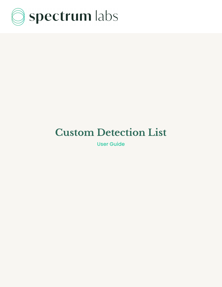

# **Custom Detection List**

User Guide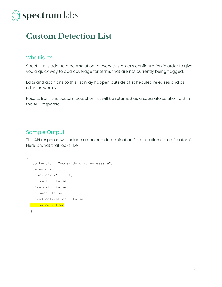

# **Custom Detection List**

## What is it?

Spectrum is adding a new solution to every customer's configuration in order to give you a quick way to add coverage for terms that are not currently being flagged.

Edits and additions to this list may happen outside of scheduled releases and as often as weekly.

Results from this custom detection list will be returned as a separate solution within the API Response.

## Sample Output

The API response will include a boolean determination for a solution called "custom". Here is what that looks like:

```
{
 "contentId": "some-id-for-the-message",
 "behaviors": {
    "profanity": true,
    "insult": false,
   "sexual": false,
    "csam": false,
    "radicalization": false,
  "custom": true
 }
}
```